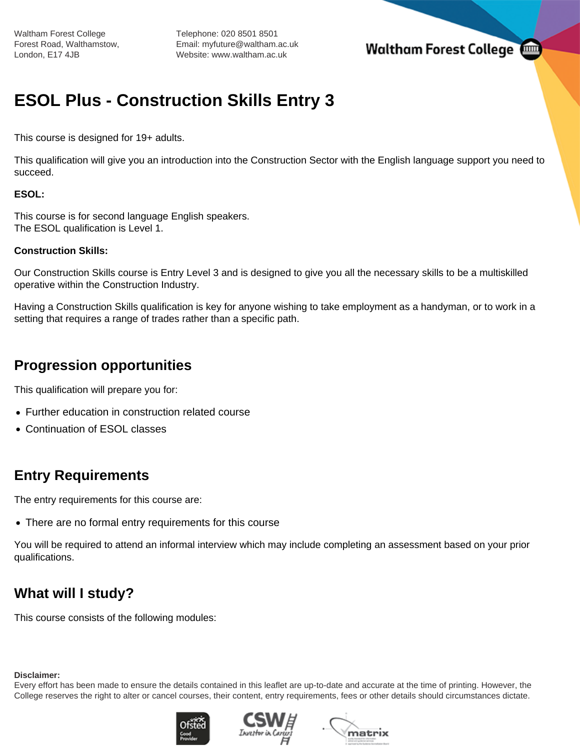Waltham Forest College Forest Road, Walthamstow, London, E17 4JB

Telephone: 020 8501 8501 Email: myfuture@waltham.ac.uk Website: www.waltham.ac.uk

## **Waltham Forest College**

# **ESOL Plus - Construction Skills Entry 3**

This course is designed for 19+ adults.

This qualification will give you an introduction into the Construction Sector with the English language support you need to succeed.

#### **ESOL:**

This course is for second language English speakers. The ESOL qualification is Level 1.

#### **Construction Skills:**

Our Construction Skills course is Entry Level 3 and is designed to give you all the necessary skills to be a multiskilled operative within the Construction Industry.

Having a Construction Skills qualification is key for anyone wishing to take employment as a handyman, or to work in a setting that requires a range of trades rather than a specific path.

### **Progression opportunities**

This qualification will prepare you for:

- Further education in construction related course
- Continuation of ESOL classes

### **Entry Requirements**

The entry requirements for this course are:

There are no formal entry requirements for this course

You will be required to attend an informal interview which may include completing an assessment based on your prior qualifications.

## **What will I study?**

This course consists of the following modules:

#### **Disclaimer:**

Every effort has been made to ensure the details contained in this leaflet are up-to-date and accurate at the time of printing. However, the College reserves the right to alter or cancel courses, their content, entry requirements, fees or other details should circumstances dictate.